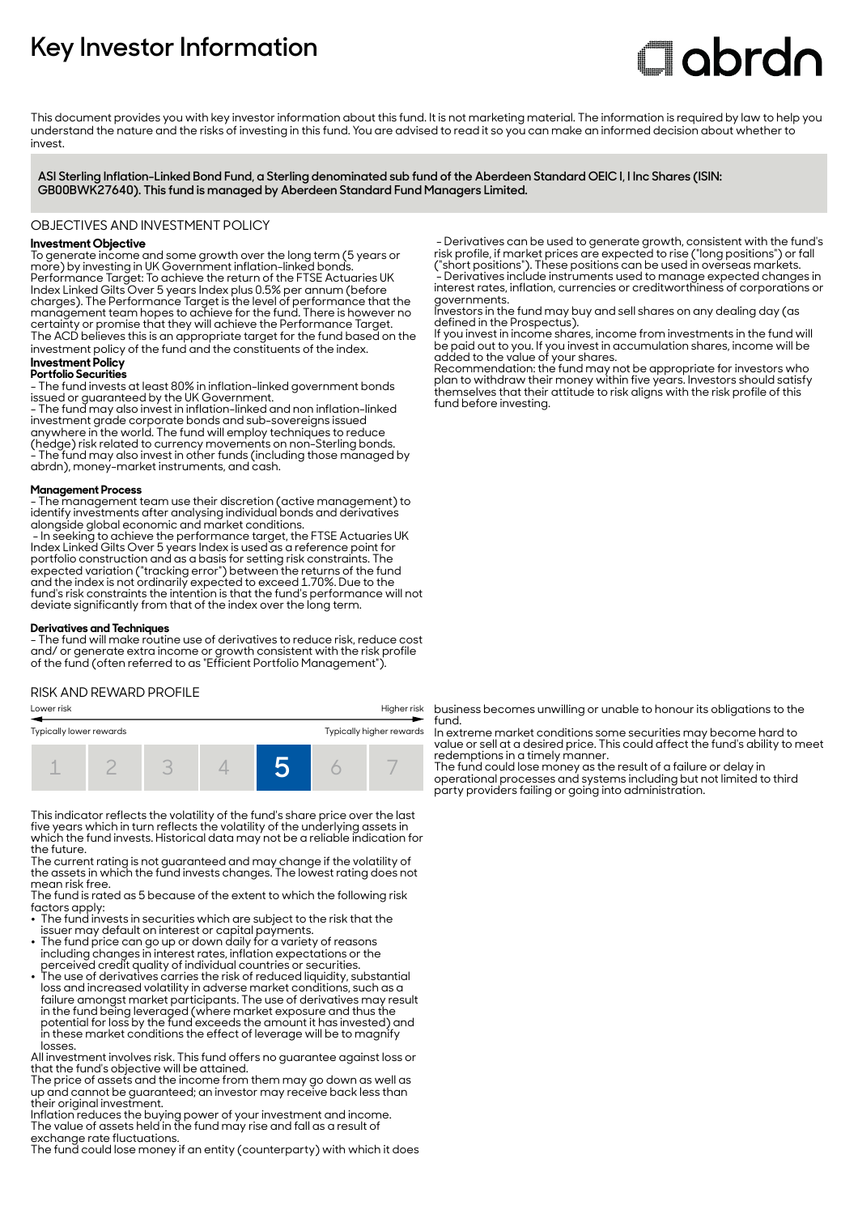# **Key Investor Information**

# **Clobrdn**

This document provides you with key investor information about this fund. It is not marketing material. The information is required by law to help you understand the nature and the risks of investing in this fund. You are advised to read it so you can make an informed decision about whether to invest

**ASI Sterling Inflation-Linked Bond Fund, a Sterling denominated sub fund of the Aberdeen Standard OEIC I, I Inc Shares (ISIN: GB00BWK27640). This fund is managed by Aberdeen Standard Fund Managers Limited.**

#### OBJECTIVES AND INVESTMENT POLICY

# **Investment Objective**

To generate income and some growth over the long term (5 years or more) by investing in UK Government inflation-linked bonds. Performance Target: To achieve the return of the FTSE Actuaries UK Index Linked Gilts Over 5 years Index plus 0.5% per annum (before charges). The Performance Target is the level of performance that the management team hopes to achieve for the fund. There is however no certainty or promise that they will achieve the Performance Target. The ACD believes this is an appropriate target for the fund based on the investment policy of the fund and the constituents of the index.

#### **Investment Policy Portfolio Securities**

- The fund invests at least 80% in inflation-linked government bonds issued or guaranteed by the UK Government. - The fund may also invest in inflation-linked and non inflation-linked investment grade corporate bonds and sub-sovereigns issued anywhere in the world. The fund will employ techniques to reduce (hedge) risk related to currency movements on non-Sterling bonds. - The fund may also invest in other funds (including those managed by abrdn), money-market instruments, and cash.

#### **Management Process**

- The management team use their discretion (active management) to identify investments after analysing individual bonds and derivatives alongside global economic and market conditions.

 - In seeking to achieve the performance target, the FTSE Actuaries UK Index Linked Gilts Over 5 years Index is used as a reference point for portfolio construction and as a basis for setting risk constraints. The expected variation ("tracking error") between the returns of the fund and the index is not ordinarily expected to exceed 1.70%. Due to the fund's risk constraints the intention is that the fund's performance will not deviate significantly from that of the index over the long term.

#### **Derivatives and Techniques**

- The fund will make routine use of derivatives to reduce risk, reduce cost and/ or generate extra income or growth consistent with the risk profile of the fund (often referred to as "Efficient Portfolio Management").

#### RISK AND REWARD PROFILE

| Lower risk              |  |  | Higher risk |  |                          |  |  |
|-------------------------|--|--|-------------|--|--------------------------|--|--|
| Typically lower rewards |  |  |             |  | Typically higher rewards |  |  |
|                         |  |  |             |  |                          |  |  |

This indicator reflects the volatility of the fund's share price over the last five years which in turn reflects the volatility of the underlying assets in which the fund invests. Historical data may not be a reliable indication for the future.

The current rating is not guaranteed and may change if the volatility of the assets in which the fund invests changes. The lowest rating does not mean risk free.

The fund is rated as 5 because of the extent to which the following risk factors apply:

- The fund invests in securities which are subject to the risk that the issuer may default on interest or capital payments. 2 The fund price can go up or down daily for a variety of reasons
- including changes in interest rates, inflation expectations or the
- perceived credit quality of individual countries or securities. 2 The use of derivatives carries the risk of reduced liquidity, substantial loss and increased volatility in adverse market conditions, such as a failure amongst market participants. The use of derivatives may result in the fund being leveraged (where market exposure and thus the potential for loss by the fund exceeds the amount it has invested) and in these market conditions the effect of leverage will be to magnify losses.

All investment involves risk. This fund offers no guarantee against loss or that the fund's objective will be attained.

The price of assets and the income from them may go down as well as up and cannot be guaranteed; an investor may receive back less than their original investment.

Inflation reduces the buying power of your investment and income. The value of assets held in the fund may rise and fall as a result of exchange rate fluctuations.

The fund could lose money if an entity (counterparty) with which it does

 - Derivatives can be used to generate growth, consistent with the fund's risk profile, if market prices are expected to rise ("long positions") or fall ("short positions"). These positions can be used in overseas markets. - Derivatives include instruments used to manage expected changes in interest rates, inflation, currencies or creditworthiness of corporations or governments.

Investors in the fund may buy and sell shares on any dealing day (as defined in the Prospectus).

If you invest in income shares, income from investments in the fund will be paid out to you. If you invest in accumulation shares, income will be added to the value of your shares.

Recommendation: the fund may not be appropriate for investors who plan to withdraw their money within five years. Investors should satisfy themselves that their attitude to risk aligns with the risk profile of this fund before investing.

business becomes unwilling or unable to honour its obligations to the fund.

In extreme market conditions some securities may become hard to value or sell at a desired price. This could affect the fund's ability to meet redemptions in a timely manner.

The fund could lose money as the result of a failure or delay in operational processes and systems including but not limited to third party providers failing or going into administration.